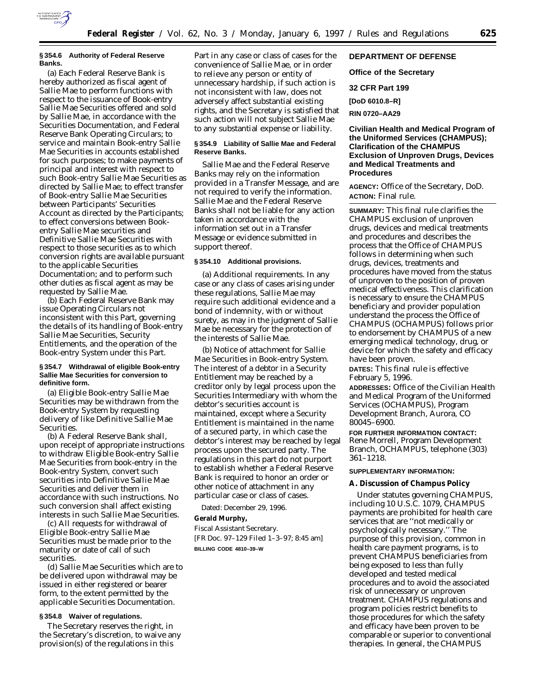

#### **§ 354.6 Authority of Federal Reserve Banks.**

(a) Each Federal Reserve Bank is hereby authorized as fiscal agent of Sallie Mae to perform functions with respect to the issuance of Book-entry Sallie Mae Securities offered and sold by Sallie Mae, in accordance with the Securities Documentation, and Federal Reserve Bank Operating Circulars; to service and maintain Book-entry Sallie Mae Securities in accounts established for such purposes; to make payments of principal and interest with respect to such Book-entry Sallie Mae Securities as directed by Sallie Mae; to effect transfer of Book-entry Sallie Mae Securities between Participants' Securities Account as directed by the Participants; to effect conversions between Bookentry Sallie Mae securities and Definitive Sallie Mae Securities with respect to those securities as to which conversion rights are available pursuant to the applicable Securities Documentation; and to perform such other duties as fiscal agent as may be requested by Sallie Mae.

(b) Each Federal Reserve Bank may issue Operating Circulars not inconsistent with this Part, governing the details of its handling of Book-entry Sallie Mae Securities, Security Entitlements, and the operation of the Book-entry System under this Part.

### **§ 354.7 Withdrawal of eligible Book-entry Sallie Mae Securities for conversion to definitive form.**

(a) Eligible Book-entry Sallie Mae Securities may be withdrawn from the Book-entry System by requesting delivery of like Definitive Sallie Mae Securities.

(b) A Federal Reserve Bank shall, upon receipt of appropriate instructions to withdraw Eligible Book-entry Sallie Mae Securities from book-entry in the Book-entry System, convert such securities into Definitive Sallie Mae Securities and deliver them in accordance with such instructions. No such conversion shall affect existing interests in such Sallie Mae Securities.

(c) All requests for withdrawal of Eligible Book-entry Sallie Mae Securities must be made prior to the maturity or date of call of such securities.

(d) Sallie Mae Securities which are to be delivered upon withdrawal may be issued in either registered or bearer form, to the extent permitted by the applicable Securities Documentation.

# **§ 354.8 Waiver of regulations.**

The Secretary reserves the right, in the Secretary's discretion, to waive any provision(s) of the regulations in this

Part in any case or class of cases for the convenience of Sallie Mae, or in order to relieve any person or entity of unnecessary hardship, if such action is not inconsistent with law, does not adversely affect substantial existing rights, and the Secretary is satisfied that such action will not subject Sallie Mae to any substantial expense or liability.

### **§ 354.9 Liability of Sallie Mae and Federal Reserve Banks.**

Sallie Mae and the Federal Reserve Banks may rely on the information provided in a Transfer Message, and are not required to verify the information. Sallie Mae and the Federal Reserve Banks shall not be liable for any action taken in accordance with the information set out in a Transfer Message or evidence submitted in support thereof.

#### **§ 354.10 Additional provisions.**

(a) *Additional requirements.* In any case or any class of cases arising under these regulations, Sallie Mae may require such additional evidence and a bond of indemnity, with or without surety, as may in the judgment of Sallie Mae be necessary for the protection of the interests of Sallie Mae.

(b) *Notice of attachment for Sallie Mae Securities in Book-entry System.* The interest of a debtor in a Security Entitlement may be reached by a creditor only by legal process upon the Securities Intermediary with whom the debtor's securities account is maintained, except where a Security Entitlement is maintained in the name of a secured party, in which case the debtor's interest may be reached by legal process upon the secured party. The regulations in this part do not purport to establish whether a Federal Reserve Bank is required to honor an order or other notice of attachment in any particular case or class of cases.

Dated: December 29, 1996. **Gerald Murphy,** *Fiscal Assistant Secretary.* [FR Doc. 97–129 Filed 1–3–97; 8:45 am] **BILLING CODE 4810–39–W**

# **DEPARTMENT OF DEFENSE**

**Office of the Secretary**

**32 CFR Part 199**

**[DoD 6010.8–R]**

**RIN 0720–AA29**

**Civilian Health and Medical Program of the Uniformed Services (CHAMPUS); Clarification of the CHAMPUS Exclusion of Unproven Drugs, Devices and Medical Treatments and Procedures**

**AGENCY:** Office of the Secretary, DoD. **ACTION:** Final rule.

**SUMMARY:** This final rule clarifies the CHAMPUS exclusion of unproven drugs, devices and medical treatments and procedures and describes the process that the Office of CHAMPUS follows in determining when such drugs, devices, treatments and procedures have moved from the status of unproven to the position of proven medical effectiveness. This clarification is necessary to ensure the CHAMPUS beneficiary and provider population understand the process the Office of CHAMPUS (OCHAMPUS) follows prior to endorsement by CHAMPUS of a new emerging medical technology, drug, or device for which the safety and efficacy have been proven.

**DATES:** This final rule is effective February 5, 1996.

**ADDRESSES:** Office of the Civilian Health and Medical Program of the Uniformed Services (OCHAMPUS), Program Development Branch, Aurora, CO 80045–6900.

### **FOR FURTHER INFORMATION CONTACT:**

Rene Morrell, Program Development Branch, OCHAMPUS, telephone (303) 361–1218.

### **SUPPLEMENTARY INFORMATION:**

#### **A. Discussion of Champus Policy**

Under statutes governing CHAMPUS, including 10 U.S.C. 1079, CHAMPUS payments are prohibited for health care services that are ''not medically or psychologically necessary.'' The purpose of this provision, common in health care payment programs, is to prevent CHAMPUS beneficiaries from being exposed to less than fully developed and tested medical procedures and to avoid the associated risk of unnecessary or unproven treatment. CHAMPUS regulations and program policies restrict benefits to those procedures for which the safety and efficacy have been proven to be comparable or superior to conventional therapies. In general, the CHAMPUS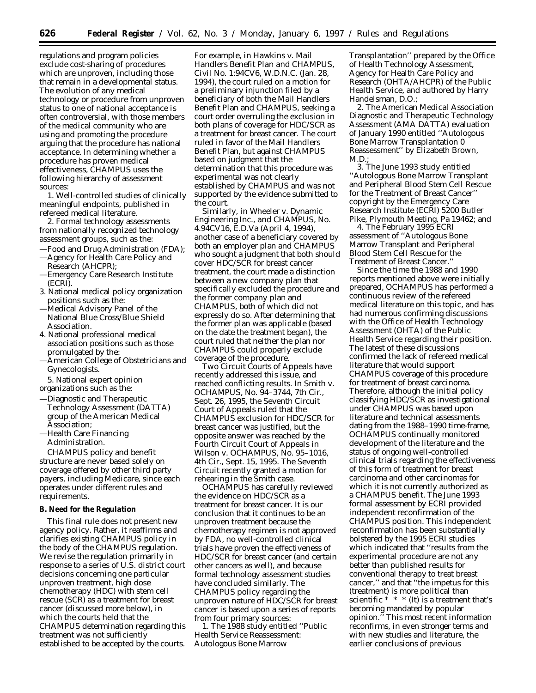regulations and program policies exclude cost-sharing of procedures which are unproven, including those that remain in a developmental status. The evolution of any medical technology or procedure from unproven status to one of national acceptance is often controversial, with those members of the medical community who are using and promoting the procedure arguing that the procedure has national acceptance. In determining whether a procedure has proven medical effectiveness, CHAMPUS uses the following hierarchy of assessment sources:

1. Well-controlled studies of clinically meaningful endpoints, published in refereed medical literature.

2. Formal technology assessments from nationally recognized technology assessment groups, such as the:

- —Food and Drug Administration (FDA);
- —Agency for Health Care Policy and Research (AHCPR);
- —Emergency Care Research Institute (ECRI).
- 3. National medical policy organization positions such as the:
- —Medical Advisory Panel of the National Blue Cross/Blue Shield Association.
- 4. National professional medical association positions such as those promulgated by the:
- —American College of Obstetricians and Gynecologists.
- 5. National expert opinion
- organizations such as the:
- —Diagnostic and Therapeutic Technology Assessment (DATTA) group of the American Medical Association;
- —Health Care Financing Administration.

CHAMPUS policy and benefit structure are never based solely on coverage offered by other third party payers, including Medicare, since each operates under different rules and requirements.

### **B. Need for the Regulation**

This final rule does not present new agency policy. Rather, it reaffirms and clarifies existing CHAMPUS policy in the body of the CHAMPUS regulation. We revise the regulation primarily in response to a series of U.S. district court decisions concerning one particular unproven treatment, high dose chemotherapy (HDC) with stem cell rescue (SCR) as a treatment for breast cancer (discussed more below), in which the courts held that the CHAMPUS determination regarding this treatment was not sufficiently established to be accepted by the courts.

For example, in *Hawkins* v. *Mail Handlers Benefit Plan and CHAMPUS,* Civil No. 1:94CV6, W.D.N.C. (Jan. 28, 1994), the court ruled on a motion for a preliminary injunction filed by a beneficiary of both the Mail Handlers Benefit Plan and CHAMPUS, seeking a court order overruling the exclusion in both plans of coverage for HDC/SCR as a treatment for breast cancer. The court ruled in favor of the Mail Handlers Benefit Plan, but against CHAMPUS based on judgment that the determination that this procedure was experimental was not clearly established by CHAMPUS and was not supported by the evidence submitted to the court.

Similarly, in *Wheeler* v. *Dynamic Engineering Inc., and CHAMPUS,* No. 4.94CV16, E.D.Va (April 4, 1994), another case of a beneficiary covered by both an employer plan and CHAMPUS who sought a judgment that both should cover HDC/SCR for breast cancer treatment, the court made a distinction between a new company plan that specifically excluded the procedure and the former company plan and CHAMPUS, both of which did not expressly do so. After determining that the former plan was applicable (based on the date the treatment began), the court ruled that neither the plan nor CHAMPUS could properly exclude coverage of the procedure.

Two Circuit Courts of Appeals have recently addressed this issue, and reached conflicting results. In *Smith* v. *OCHAMPUS,* No. 94–3744, 7th Cir., Sept. 26, 1995, the Seventh Circuit Court of Appeals ruled that the CHAMPUS exclusion for HDC/SCR for breast cancer was justified, but the opposite answer was reached by the Fourth Circuit Court of Appeals in *Wilson* v. *OCHAMPUS,* No. 95–1016, 4th Cir., Sept. 15, 1995. The Seventh Circuit recently granted a motion for rehearing in the *Smith* case.

OCHAMPUS has carefully reviewed the evidence on HDC/SCR as a treatment for breast cancer. It is our conclusion that it continues to be an unproven treatment because the chemotherapy regimen is not approved by FDA, no well-controlled clinical trials have proven the effectiveness of HDC/SCR for breast cancer (and certain other cancers as well), and because formal technology assessment studies have concluded similarly. The CHAMPUS policy regarding the unproven nature of HDC/SCR for breast cancer is based upon a series of reports from four primary sources:

1. The 1988 study entitled ''Public Health Service Reassessment: Autologous Bone Marrow

Transplantation'' prepared by the Office of Health Technology Assessment, Agency for Health Care Policy and Research (OHTA/AHCPR) of the Public Health Service, and authored by Harry Handelsman, D.O.;

2. The American Medical Association Diagnostic and Therapeutic Technology Assessment (AMA DATTA) evaluation of January 1990 entitled ''Autologous Bone Marrow Transplantation 0 Reassessment'' by Elizabeth Brown, M.D.;

3. The June 1993 study entitled ''Autologous Bone Marrow Transplant and Peripheral Blood Stem Cell Rescue for the Treatment of Breast Cancer'' copyright by the Emergency Care Research Institute (ECRI) 5200 Butler Pike, Plymouth Meeting, Pa 19462; and

4. The February 1995 ECRI assessment of ''Autologous Bone Marrow Transplant and Peripheral Blood Stem Cell Rescue for the Treatment of Breast Cancer.''

Since the time the 1988 and 1990 reports mentioned above were initially prepared, OCHAMPUS has performed a continuous review of the refereed medical literature on this topic, and has had numerous confirming discussions with the Office of Health Technology Assessment (OHTA) of the Public Health Service regarding their position. The latest of these discussions confirmed the lack of refereed medical literature that would support CHAMPUS coverage of this procedure for treatment of breast carcinoma. Therefore, although the initial policy classifying HDC/SCR as investigational under CHAMPUS was based upon literature and technical assessments dating from the 1988–1990 time-frame, OCHAMPUS continually monitored development of the literature and the status of ongoing well-controlled clinical trials regarding the effectiveness of this form of treatment for breast carcinoma and other carcinomas for which it is not currently authorized as a CHAMPUS benefit. The June 1993 formal assessment by ECRI provided independent reconfirmation of the CHAMPUS position. This independent reconfirmation has been substantially bolstered by the 1995 ECRI studies which indicated that ''results from the experimental procedure are not any better than published results for conventional therapy to treat breast cancer,'' and that ''the impetus for this (treatment) is more political than scientific  $* * * (It)$  is a treatment that's becoming mandated by popular opinion.'' This most recent information reconfirms, in even stronger terms and with new studies and literature, the earlier conclusions of previous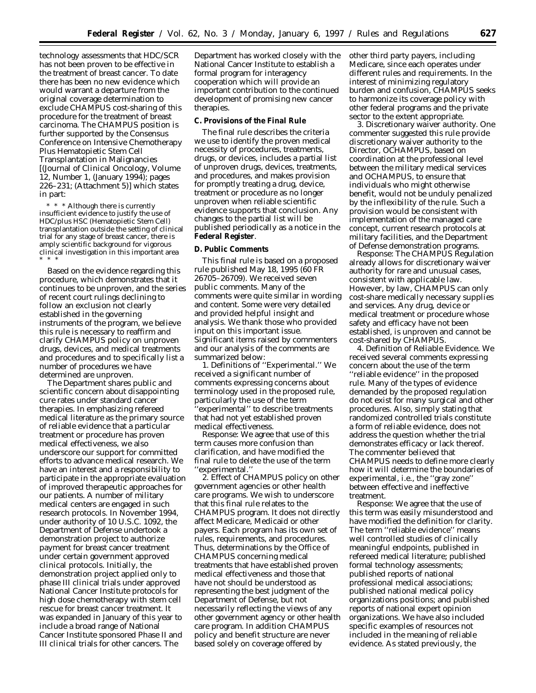technology assessments that HDC/SCR has not been proven to be effective in the treatment of breast cancer. To date there has been no new evidence which would warrant a departure from the original coverage determination to exclude CHAMPUS cost-sharing of this procedure for the treatment of breast carcinoma. The CHAMPUS position is further supported by the Consensus Conference on Intensive Chemotherapy Plus Hematopietic Stem Cell Transplantation in Malignancies [(Journal of Clinical Oncology, Volume 12, Number 1, (January 1994); pages 226–231; (Attachment 5)] which states in part:

\* \* \* Although there is currently insufficient evidence to justify the use of HDC/plus HSC (Hematopietic Stem Cell) transplantation outside the setting of clinical trial for any stage of breast cancer, there is amply scientific background for vigorous clinical investigation in this important area \* \* \*

Based on the evidence regarding this procedure, which demonstrates that it continues to be unproven, and the series of recent court rulings declining to follow an exclusion not clearly established in the governing instruments of the program, we believe this rule is necessary to reaffirm and clarify CHAMPUS policy on unproven drugs, devices, and medical treatments and procedures and to specifically list a number of procedures we have determined are unproven.

The Department shares public and scientific concern about disappointing cure rates under standard cancer therapies. In emphasizing refereed medical literature as the primary source of reliable evidence that a particular treatment or procedure has proven medical effectiveness, we also underscore our support for committed efforts to advance medical research. We have an interest and a responsibility to participate in the appropriate evaluation of improved therapeutic approaches for our patients. A number of military medical centers are engaged in such research protocols. In November 1994, under authority of 10 U.S.C. 1092, the Department of Defense undertook a demonstration project to authorize payment for breast cancer treatment under certain government approved clinical protocols. Initially, the demonstration project applied only to phase III clinical trials under approved National Cancer Institute protocols for high dose chemotherapy with stem cell rescue for breast cancer treatment. It was expanded in January of this year to include a broad range of National Cancer Institute sponsored Phase II and III clinical trials for other cancers. The

Department has worked closely with the National Cancer Institute to establish a formal program for interagency cooperation which will provide an important contribution to the continued development of promising new cancer therapies.

# **C. Provisions of the Final Rule**

The final rule describes the criteria we use to identify the proven medical necessity of procedures, treatments, drugs, or devices, includes a partial list of unproven drugs, devices, treatments, and procedures, and makes provision for promptly treating a drug, device, treatment or procedure as no longer unproven when reliable scientific evidence supports that conclusion. Any changes to the partial list will be published periodically as a notice in the **Federal Register**.

#### **D. Public Comments**

This final rule is based on a proposed rule published May 18, 1995 (60 FR 26705–26709). We received seven public comments. Many of the comments were quite similar in wording and content. Some were very detailed and provided helpful insight and analysis. We thank those who provided input on this important issue. Significant items raised by commenters and our analysis of the comments are summarized below:

1. *Definitions of ''Experimental.''* We received a significant number of comments expressing concerns about terminology used in the proposed rule, particularly the use of the term ''experimental'' to describe treatments that had not yet established proven medical effectiveness.

*Response:* We agree that use of this term causes more confusion than clarification, and have modified the final rule to delete the use of the term ''experimental.''

2. *Effect of CHAMPUS policy on other government agencies or other health care programs.* We wish to underscore that this final rule relates to the CHAMPUS program. It does not directly affect Medicare, Medicaid or other payers. Each program has its own set of rules, requirements, and procedures. Thus, determinations by the Office of CHAMPUS concerning medical treatments that have established proven medical effectiveness and those that have not should be understood as representing the best judgment of the Department of Defense, but not necessarily reflecting the views of any other government agency or other health care program. In addition CHAMPUS policy and benefit structure are never based solely on coverage offered by

other third party payers, including Medicare, since each operates under different rules and requirements. In the interest of minimizing regulatory burden and confusion, CHAMPUS seeks to harmonize its coverage policy with other federal programs and the private sector to the extent appropriate.

3. *Discretionary waiver authority.* One commenter suggested this rule provide discretionary waiver authority to the Director, OCHAMPUS, based on coordination at the professional level between the military medical services and OCHAMPUS, to ensure that individuals who might otherwise benefit, would not be unduly penalized by the inflexibility of the rule. Such a provision would be consistent with implementation of the managed care concept, current research protocols at military facilities, and the Department of Defense demonstration programs.

*Response:* The CHAMPUS Regulation already allows for discretionary waiver authority for rare and unusual cases, consistent with applicable law. However, by law, CHAMPUS can only cost-share medically necessary supplies and services. Any drug, device or medical treatment or procedure whose safety and efficacy have not been established, is unproven and cannot be cost-shared by CHAMPUS.

4. *Definition of Reliable Evidence.* We received several comments expressing concern about the use of the term ''reliable evidence'' in the proposed rule. Many of the types of evidence demanded by the proposed regulation do not exist for many surgical and other procedures. Also, simply stating that randomized controlled trials constitute a form of reliable evidence, does not address the question whether the trial demonstrates efficacy or lack thereof. The commenter believed that CHAMPUS needs to define more clearly how it will determine the boundaries of experimental, i.e., the ''gray zone'' between effective and ineffective treatment.

*Response:* We agree that the use of this term was easily misunderstood and have modified the definition for clarity. The term ''reliable evidence'' means well controlled studies of clinically meaningful endpoints, published in refereed medical literature; published formal technology assessments; published reports of national professional medical associations; published national medical policy organizations positions; and published reports of national expert opinion organizations. We have also included specific examples of resources *not* included in the meaning of reliable evidence. As stated previously, the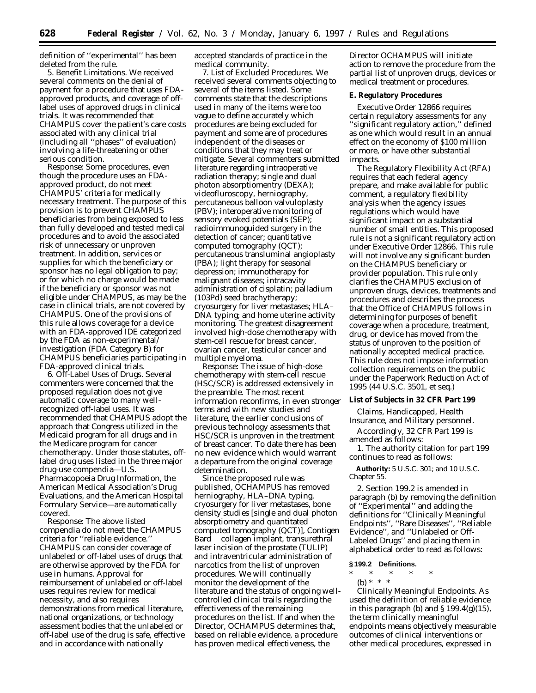definition of ''experimental'' has been deleted from the rule.

5. *Benefit Limitations.* We received several comments on the denial of payment for a procedure that uses FDAapproved products, and coverage of offlabel uses of approved drugs in clinical trials. It was recommended that CHAMPUS cover the patient's care costs associated with any clinical trial (including all ''phases'' of evaluation) involving a life-threatening or other serious condition.

*Response:* Some procedures, even though the procedure uses an FDAapproved product, do not meet CHAMPUS' criteria for medically necessary treatment. The purpose of this provision is to prevent CHAMPUS beneficiaries from being exposed to less than fully developed and tested medical procedures and to avoid the associated risk of unnecessary or unproven treatment. In addition, services or supplies for which the beneficiary or sponsor has no legal obligation to pay; or for which no charge would be made if the beneficiary or sponsor was not eligible under CHAMPUS, as may be the case in clinical trials, are not covered by CHAMPUS. One of the provisions of this rule allows coverage for a device with an FDA-approved IDE categorized by the FDA as non-experimental/ investigation (FDA Category B) for CHAMPUS beneficiaries participating in FDA-approved clinical trials.

6. *Off-Label Uses of Drugs.* Several commenters were concerned that the proposed regulation does not give automatic coverage to many wellrecognized off-label uses. It was recommended that CHAMPUS adopt the approach that Congress utilized in the Medicaid program for all drugs and in the Medicare program for cancer chemotherapy. Under those statutes, offlabel drug uses listed in the three major drug-use compendia—U.S. Pharmacopoeia Drug Information, the American Medical Association's Drug Evaluations, and the American Hospital Formulary Service—are automatically covered.

*Response:* The above listed compendia do not meet the CHAMPUS criteria for ''reliable evidence.'' CHAMPUS can consider coverage of unlabeled or off-label uses of drugs that are otherwise approved by the FDA for use in humans. Approval for reimbursement of unlabeled or off-label uses requires review for medical necessity, and also requires demonstrations from medical literature, national organizations, or technology assessment bodies that the unlabeled or off-label use of the drug is safe, effective and in accordance with nationally

accepted standards of practice in the medical community.

7. *List of Excluded Procedures.* We received several comments objecting to several of the items listed. Some comments state that the descriptions used in many of the items were too vague to define accurately which procedures are being excluded for payment and some are of procedures independent of the diseases or conditions that they may treat or mitigate. Several commenters submitted literature regarding intraoperative radiation therapy; single and dual photon absorptiomentry (DEXA); videofluroscopy, herniography, percutaneous balloon valvuloplasty (PBV); interoperative monitoring of sensory evoked potentials (SEP); radioimmunoguided surgery in the detection of cancer; quantitative computed tomography (QCT); percutaneous transluminal angioplasty (PBA); light therapy for seasonal depression; immunotherapy for malignant diseases; intracavity administration of cisplatin; palladium (103Pd) seed brachytherapy; cryosurgery for liver metastases; HLA– DNA typing; and home uterine activity monitoring. The greatest disagreement involved high-dose chemotherapy with stem-cell rescue for breast cancer, ovarian cancer, testicular cancer and multiple myeloma.

*Response:* The issue of high-dose chemotherapy with stem-cell rescue (HSC/SCR) is addressed extensively in the preamble. The most recent information reconfirms, in even stronger terms and with new studies and literature, the earlier conclusions of previous technology assessments that HSC/SCR is unproven in the treatment of breast cancer. To date there has been no new evidence which would warrant a departure from the original coverage determination.

Since the proposed rule was published, OCHAMPUS has removed herniography, HLA–DNA typing, cryosurgery for liver metastases, bone density studies [single and dual photon absorptiometry and quantitated computed tomography (QCT)], Contigen Bard <sup>®</sup> collagen implant, transurethral laser incision of the prostate (TULIP) and intraventricular administration of narcotics from the list of unproven procedures. We will continually monitor the development of the literature and the status of ongoing wellcontrolled clinical trails regarding the effectiveness of the remaining procedures on the list. If and when the Director, OCHAMPUS determines that, based on reliable evidence, a procedure has proven medical effectiveness, the

Director OCHAMPUS will initiate action to remove the procedure from the partial list of unproven drugs, devices or medical treatment or procedures.

### **E. Regulatory Procedures**

Executive Order 12866 requires certain regulatory assessments for any ''significant regulatory action,'' defined as one which would result in an annual effect on the economy of \$100 million or more, or have other substantial impacts.

The Regulatory Flexibility Act (RFA) requires that each federal agency prepare, and make available for public comment, a regulatory flexibility analysis when the agency issues regulations which would have significant impact on a substantial number of small entities. This proposed rule is not a significant regulatory action under Executive Order 12866. This rule will not involve any significant burden on the CHAMPUS beneficiary or provider population. This rule only clarifies the CHAMPUS exclusion of unproven drugs, devices, treatments and procedures and describes the process that the Office of CHAMPUS follows in determining for purposes of benefit coverage when a procedure, treatment, drug, or device has moved from the status of unproven to the position of nationally accepted medical practice. This rule does not impose information collection requirements on the public under the Paperwork Reduction Act of 1995 (44 U.S.C. 3501, *et seq.*)

**List of Subjects in 32 CFR Part 199**

Claims, Handicapped, Health Insurance, and Military personnel.

Accordingly, 32 CFR Part 199 is amended as follows:

1. The authority citation for part 199 continues to read as follows:

**Authority:** 5 U.S.C. 301; and 10 U.S.C. Chapter 55.

2. Section 199.2 is amended in paragraph (b) by removing the definition of ''Experimental'' and adding the definitions for ''Clinically Meaningful Endpoints'', ''Rare Diseases'', ''Reliable Evidence'', and ''Unlabeled or Off-Labeled Drugs'' and placing them in alphabetical order to read as follows:

### **§ 199.2 Definitions.**

\* \* \* \* \* (b) \* \* \*

*Clinically Meaningful Endpoints.* As used the definition of *reliable evidence* in this paragraph (b) and  $\S 199.4(g)(15)$ , the term clinically meaningful endpoints means objectively measurable outcomes of clinical interventions or other medical procedures, expressed in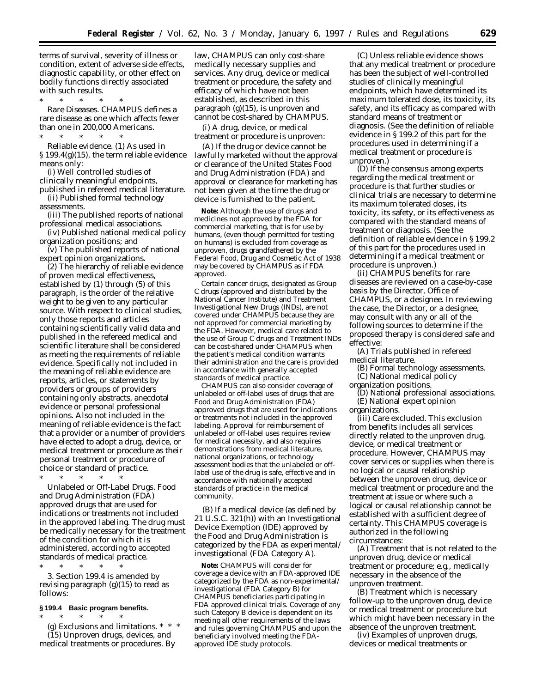terms of survival, severity of illness or condition, extent of adverse side effects, diagnostic capability, or other effect on bodily functions directly associated with such results.

\* \* \* \* \* *Rare Diseases.* CHAMPUS defines a rare disease as one which affects fewer than one in 200,000 Americans.

\* \* \* \* \* *Reliable evidence.* (1) As used in § 199.4(g)(15), the term reliable evidence means only:

(i) Well controlled studies of clinically meaningful endpoints, published in refereed medical literature.

(ii) Published formal technology assessments.

(iii) The published reports of national professional medical associations.

(iv) Published national medical policy organization positions; and

 $\bar{v}(v)$  The published reports of national expert opinion organizations.

(2) The hierarchy of reliable evidence of proven medical effectiveness, established by (1) through (5) of this paragraph, is the order of the relative weight to be given to any particular source. With respect to clinical studies, only those reports and articles containing scientifically valid data and published in the refereed medical and scientific literature shall be considered as meeting the requirements of reliable evidence. Specifically not included in the meaning of reliable evidence are reports, articles, or statements by providers or groups of providers containing only abstracts, anecdotal evidence or personal professional opinions. Also not included in the meaning of reliable evidence is the fact that a provider or a number of providers have elected to adopt a drug, device, or medical treatment or procedure as their personal treatment or procedure of choice or standard of practice.

\* \* \* \* \* *Unlabeled or Off-Label Drugs.* Food and Drug Administration (FDA) approved drugs that are used for indications or treatments not included in the approved labeling. The drug must be medically necessary for the treatment of the condition for which it is administered, according to accepted standards of medical practice.

\* \* \* \* \* 3. Section 199.4 is amended by revising paragraph  $(g)(15)$  to read as follows:

# **§ 199.4 Basic program benefits.**

\* \* \* \* \* (g) *Exclusions and limitations. \* \* \** (15) *Unproven drugs, devices, and medical treatments or procedures.* By

law, CHAMPUS can only cost-share medically necessary supplies and services. Any drug, device or medical treatment or procedure, the safety and efficacy of which have not been established, as described in this paragraph (g)(15), is unproven and cannot be cost-shared by CHAMPUS.

(i) A drug, device, or medical treatment or procedure is unproven:

(A) If the drug or device cannot be lawfully marketed without the approval or clearance of the United States Food and Drug Administration (FDA) and approval or clearance for marketing has not been given at the time the drug or device is furnished to the patient.

**Note:** Although the use of drugs and medicines not approved by the FDA for commercial marketing, that is for use by humans, (even though permitted for testing on humans) is excluded from coverage as unproven, drugs grandfathered by the Federal Food, Drug and Cosmetic Act of 1938 may be covered by CHAMPUS as if FDA approved.

Certain cancer drugs, designated as Group C drugs (approved and distributed by the National Cancer Institute) and Treatment Investigational New Drugs (INDs), are not covered under CHAMPUS because they are not approved for commercial marketing by the FDA. However, medical care related to the use of Group C drugs and Treatment INDs can be cost-shared under CHAMPUS when the patient's medical condition warrants their administration and the care is provided in accordance with generally accepted standards of medical practice.

CHAMPUS can also consider coverage of *unlabeled* or *off-label* uses of drugs that are Food and Drug Administration (FDA) approved drugs that are used for indications or treatments not included in the approved labeling. Approval for reimbursement of *unlabeled* or *off-label* uses requires review for medical necessity, and also requires demonstrations from medical literature, national organizations, or technology assessment bodies that the *unlabeled* or *offlabel* use of the drug is safe, effective and in accordance with nationally accepted standards of practice in the medical community.

(B) If a medical device (as defined by 21 U.S.C. 321(h)) with an Investigational Device Exemption (IDE) approved by the Food and Drug Administration is categorized by the FDA as experimental/ investigational (FDA Category A).

**Note:** CHAMPUS will consider for coverage a device with an FDA-approved IDE categorized by the FDA as non-experimental/ investigational (FDA Category B) for CHAMPUS beneficiaries participating in FDA approved clinical trials. Coverage of any such Category B device is dependent on its meeting all other requirements of the laws and rules governing CHAMPUS and upon the beneficiary involved meeting the FDAapproved IDE study protocols.

(C) Unless reliable evidence shows that any medical treatment or procedure has been the subject of well-controlled studies of clinically meaningful endpoints, which have determined its maximum tolerated dose, its toxicity, its safety, and its efficacy as compared with standard means of treatment or diagnosis. (See the definition of *reliable evidence* in § 199.2 of this part for the procedures used in determining if a medical treatment or procedure is unproven.)

(D) If the consensus among experts regarding the medical treatment or procedure is that further studies or clinical trials are necessary to determine its maximum tolerated doses, its toxicity, its safety, or its effectiveness as compared with the standard means of treatment or diagnosis. (See the definition of *reliable evidence* in § 199.2 of this part for the procedures used in determining if a medical treatment or procedure is unproven.)

(ii) CHAMPUS benefits for rare diseases are reviewed on a case-by-case basis by the Director, Office of CHAMPUS, or a designee. In reviewing the case, the Director, or a designee, may consult with any or all of the following sources to determine if the proposed therapy is considered safe and effective:

(A) Trials published in refereed medical literature.

(B) Formal technology assessments. (C) National medical policy

organization positions.

(D) National professional associations. (E) National expert opinion

organizations.

(iii) *Care excluded.* This exclusion from benefits includes all services directly related to the unproven drug, device, or medical treatment or procedure. However, CHAMPUS may cover services or supplies when there is no logical or causal relationship between the unproven drug, device or medical treatment or procedure and the treatment at issue or where such a logical or causal relationship cannot be established with a sufficient degree of certainty. This CHAMPUS coverage is authorized in the following circumstances:

(A) Treatment that is not related to the unproven drug, device or medical treatment or procedure; e.g., medically necessary in the absence of the unproven treatment.

(B) Treatment which is necessary follow-up to the unproven drug, device or medical treatment or procedure but which might have been necessary in the absence of the unproven treatment.

(iv) *Examples of unproven drugs, devices or medical treatments or*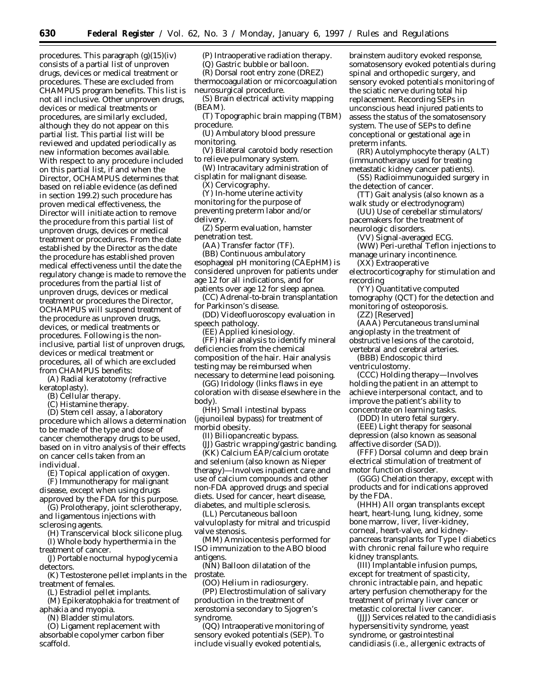*procedures.* This paragraph (g)(15)(iv) consists of a partial list of unproven drugs, devices or medical treatment or procedures. These are excluded from CHAMPUS program benefits. This list is not all inclusive. Other unproven drugs, devices or medical treatments or procedures, are similarly excluded, although they do not appear on this partial list. This partial list will be reviewed and updated periodically as new information becomes available. With respect to any procedure included on this partial list, if and when the Director, OCHAMPUS determines that based on reliable evidence (as defined in section 199.2) such procedure has proven medical effectiveness, the Director will initiate action to remove the procedure from this partial list of unproven drugs, devices or medical treatment or procedures. From the date established by the Director as the date the procedure has established proven medical effectiveness until the date the regulatory change is made to remove the procedures from the partial list of unproven drugs, devices or medical treatment or procedures the Director, OCHAMPUS will suspend treatment of the procedure as unproven drugs, devices, or medical treatments or procedures. Following is the noninclusive, partial list of unproven drugs, devices or medical treatment or procedures, all of which are excluded from CHAMPUS benefits:

(A) Radial keratotomy (refractive keratoplasty).

(B) Cellular therapy.

(C) Histamine therapy.

(D) Stem cell assay, a laboratory procedure which allows a determination to be made of the type and dose of cancer chemotherapy drugs to be used, based on in vitro analysis of their effects on cancer cells taken from an individual.

(E) Topical application of oxygen.

(F) Immunotherapy for malignant disease, except when using drugs approved by the FDA for this purpose.

(G) Prolotherapy, joint sclerotherapy, and ligamentous injections with sclerosing agents.

(H) Transcervical block silicone plug. (I) Whole body hyperthermia in the

treatment of cancer. (J) Portable nocturnal hypoglycemia

detectors. (K) Testosterone pellet implants in the

treatment of females.

(L) Estradiol pellet implants.

(M) Epikeratophakia for treatment of aphakia and myopia.

(N) Bladder stimulators.

(O) Ligament replacement with absorbable copolymer carbon fiber scaffold.

(P) Intraoperative radiation therapy.

(Q) Gastric bubble or balloon.

(R) Dorsal root entry zone (DREZ) thermocoagulation or micorcoagulation neurosurgical procedure.

(S) Brain electrical activity mapping (BEAM).

(T) Topographic brain mapping (TBM) procedure.

(U) Ambulatory blood pressure monitoring.

(V) Bilateral carotoid body resection to relieve pulmonary system.

(W) Intracavitary administration of cisplatin for malignant disease.

(X) Cervicography.

(Y) In-home uterine activity monitoring for the purpose of preventing preterm labor and/or delivery.

(Z) Sperm evaluation, hamster penetration test.

(AA) Transfer factor (TF).

(BB) Continuous ambulatory esophageal pH monitoring (CAEpHM) is considered unproven for patients under age 12 for all indications, and for patients over age 12 for sleep apnea.

(CC) Adrenal-to-brain transplantation for Parkinson's disease.

(DD) Videofluoroscopy evaluation in

speech pathology. (EE) Applied kinesiology.

(FF) Hair analysis to identify mineral deficiencies from the chemical composition of the hair. Hair analysis testing may be reimbursed when necessary to determine lead poisoning.

(GG) Iridology (links flaws in eye coloration with disease elsewhere in the body).

(HH) Small intestinal bypass (jejunoileal bypass) for treatment of morbid obesity.

(II) Biliopancreatic bypass.

(JJ) Gastric wrapping/gastric banding. (KK) Calcium EAP/calcium orotate

and selenium (also known as Nieper therapy)—Involves inpatient care and use of calcium compounds and other non-FDA approved drugs and special diets. Used for cancer, heart disease, diabetes, and multiple sclerosis.

(LL) Percutaneous balloon valvuloplasty for mitral and tricuspid valve stenosis.

(MM) Amniocentesis performed for ISO immunization to the ABO blood antigens.

(NN) Balloon dilatation of the prostate.

(OO) Helium in radiosurgery.

(PP) Electrostimulation of salivary production in the treatment of xerostomia secondary to Sjogren's syndrome.

(QQ) Intraoperative monitoring of sensory evoked potentials (SEP). To include visually evoked potentials,

brainstem auditory evoked response, somatosensory evoked potentials during spinal and orthopedic surgery, and sensory evoked potentials monitoring of the sciatic nerve during total hip replacement. Recording SEPs in unconscious head injured patients to assess the status of the somatosensory system. The use of SEPs to define conceptional or gestational age in preterm infants.

(RR) Autolymphocyte therapy (ALT) (immunotherapy used for treating metastatic kidney cancer patients).

(SS) Radioimmunoguided surgery in the detection of cancer.

(TT) Gait analysis (also known as a walk study or electrodynogram)

(UU) Use of cerebellar stimulators/ pacemakers for the treatment of neurologic disorders.

(VV) Signal-averaged ECG.

(WW) Peri-urethal Teflon injections to manage urinary incontinence.

(XX) Extraoperative

electrocorticography for stimulation and recording

(YY) Quantitative computed tomography (QCT) for the detection and monitoring of osteoporosis.

(ZZ) [Reserved]

(AAA) Percutaneous transluminal angioplasty in the treatment of obstructive lesions of the carotoid,

vertebral and cerebral arteries. (BBB) Endoscopic third

ventriculostomy.

(CCC) Holding therapy—Involves holding the patient in an attempt to achieve interpersonal contact, and to improve the patient's ability to concentrate on learning tasks.

(DDD) In utero fetal surgery.

(EEE) Light therapy for seasonal depression (also known as seasonal affective disorder (SAD)).

(FFF) Dorsal column and deep brain electrical stimulation of treatment of motor function disorder.

(GGG) Chelation therapy, except with products and for indications approved by the FDA.

(HHH) All organ transplants *except* heart, heart-lung, lung, kidney, some bone marrow, liver, liver-kidney, corneal, heart-valve, and kidneypancreas transplants for Type I diabetics with chronic renal failure who require kidney transplants.

(III) Implantable infusion pumps, *except* for treatment of spasticity, chronic intractable pain, and hepatic artery perfusion chemotherapy for the treatment of primary liver cancer or metastic colorectal liver cancer.

(JJJ) Services related to the candidiasis hypersensitivity syndrome, yeast syndrome, or gastrointestinal candidiasis (i.e., allergenic extracts of